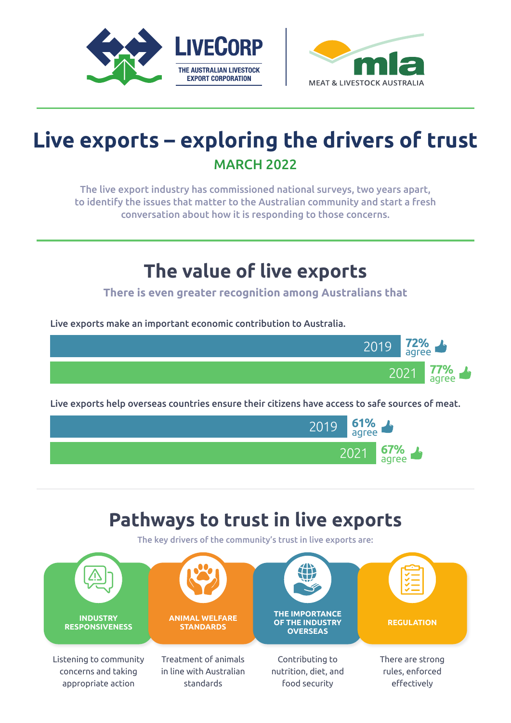



# **Live exports – exploring the drivers of trust** MARCH 2022

The live export industry has commissioned national surveys, two years apart, to identify the issues that matter to the Australian community and start a fresh conversation about how it is responding to those concerns.

### **The value of live exports**

**There is even greater recognition among Australians that**

Live exports make an important economic contribution to Australia.





## **Pathways to trust in live exports**

The key drivers of the community's trust in live exports are: